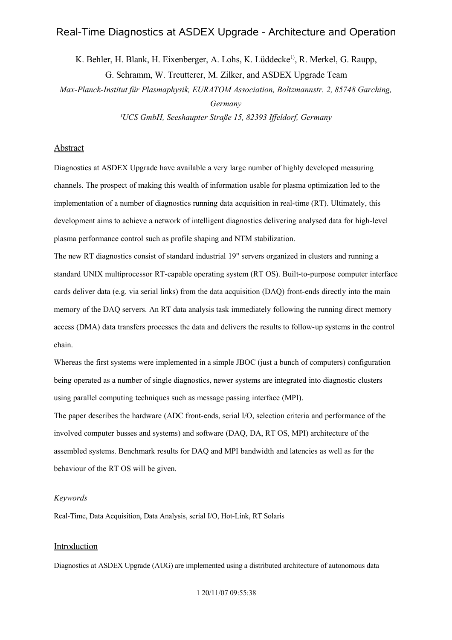# Real-Time Diagnostics at ASDEX Upgrade - Architecture and Operation

K. Behler, H. Blank, H. Eixenberger, A. Lohs, K. Lüddecke<sup>1)</sup>, R. Merkel, G. Raupp, G. Schramm, W. Treutterer, M. Zilker, and ASDEX Upgrade Team

*Max-Planck-Institut für Plasmaphysik, EURATOM Association, Boltzmannstr. 2, 85748 Garching, Germany*

*¹UCS GmbH, Seeshaupter Straße 15, 82393 Iffeldorf, Germany*

## **Abstract**

Diagnostics at ASDEX Upgrade have available a very large number of highly developed measuring channels. The prospect of making this wealth of information usable for plasma optimization led to the implementation of a number of diagnostics running data acquisition in real-time (RT). Ultimately, this development aims to achieve a network of intelligent diagnostics delivering analysed data for high-level plasma performance control such as profile shaping and NTM stabilization.

The new RT diagnostics consist of standard industrial 19" servers organized in clusters and running a standard UNIX multiprocessor RT-capable operating system (RT OS). Built-to-purpose computer interface cards deliver data (e.g. via serial links) from the data acquisition (DAQ) front-ends directly into the main memory of the DAQ servers. An RT data analysis task immediately following the running direct memory access (DMA) data transfers processes the data and delivers the results to follow-up systems in the control chain.

Whereas the first systems were implemented in a simple JBOC (just a bunch of computers) configuration being operated as a number of single diagnostics, newer systems are integrated into diagnostic clusters using parallel computing techniques such as message passing interface (MPI).

The paper describes the hardware (ADC front-ends, serial I/O, selection criteria and performance of the involved computer busses and systems) and software (DAQ, DA, RT OS, MPI) architecture of the assembled systems. Benchmark results for DAQ and MPI bandwidth and latencies as well as for the behaviour of the RT OS will be given.

### *Keywords*

Real-Time, Data Acquisition, Data Analysis, serial I/O, Hot-Link, RT Solaris

### **Introduction**

Diagnostics at ASDEX Upgrade (AUG) are implemented using a distributed architecture of autonomous data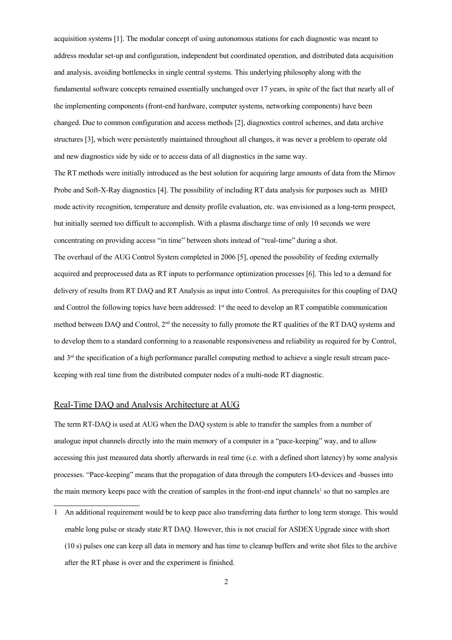acquisition systems [1]. The modular concept of using autonomous stations for each diagnostic was meant to address modular set-up and configuration, independent but coordinated operation, and distributed data acquisition and analysis, avoiding bottlenecks in single central systems. This underlying philosophy along with the fundamental software concepts remained essentially unchanged over 17 years, in spite of the fact that nearly all of the implementing components (front-end hardware, computer systems, networking components) have been changed. Due to common configuration and access methods [2], diagnostics control schemes, and data archive structures [3], which were persistently maintained throughout all changes, it was never a problem to operate old and new diagnostics side by side or to access data of all diagnostics in the same way.

The RT methods were initially introduced as the best solution for acquiring large amounts of data from the Mirnov Probe and Soft-X-Ray diagnostics [4]. The possibility of including RT data analysis for purposes such as MHD mode activity recognition, temperature and density profile evaluation, etc. was envisioned as a long-term prospect, but initially seemed too difficult to accomplish. With a plasma discharge time of only 10 seconds we were concentrating on providing access "in time" between shots instead of "real-time" during a shot. The overhaul of the AUG Control System completed in 2006 [5], opened the possibility of feeding externally acquired and preprocessed data as RT inputs to performance optimization processes [6]. This led to a demand for delivery of results from RT DAQ and RT Analysis as input into Control. As prerequisites for this coupling of DAQ and Control the following topics have been addressed:  $1<sup>st</sup>$  the need to develop an RT compatible communication method between DAQ and Control,  $2<sup>nd</sup>$  the necessity to fully promote the RT qualities of the RT DAQ systems and to develop them to a standard conforming to a reasonable responsiveness and reliability as required for by Control, and 3rd the specification of a high performance parallel computing method to achieve a single result stream pacekeeping with real time from the distributed computer nodes of a multi-node RT diagnostic.

### Real-Time DAQ and Analysis Architecture at AUG

The term RT-DAQ is used at AUG when the DAQ system is able to transfer the samples from a number of analogue input channels directly into the main memory of a computer in a "pace-keeping" way, and to allow accessing this just measured data shortly afterwards in real time (i.e. with a defined short latency) by some analysis processes. "Pace-keeping" means that the propagation of data through the computers I/O-devices and -busses into the main memory keeps pace with the creation of samples in the front-end input channels<sup>1</sup> so that no samples are

<sup>1</sup> An additional requirement would be to keep pace also transferring data further to long term storage. This would enable long pulse or steady state RT DAQ. However, this is not crucial for ASDEX Upgrade since with short (10 s) pulses one can keep all data in memory and has time to cleanup buffers and write shot files to the archive after the RT phase is over and the experiment is finished.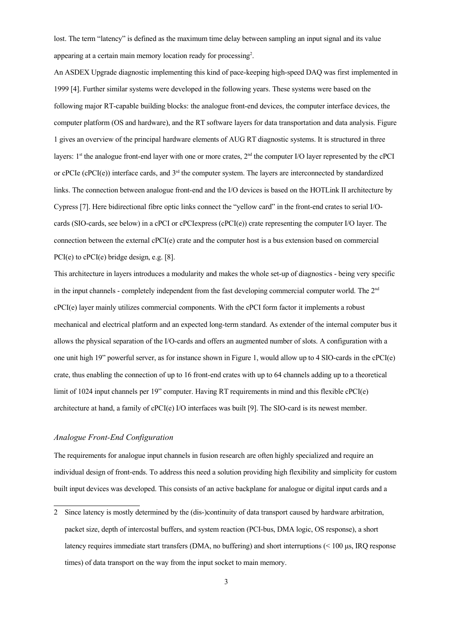lost. The term "latency" is defined as the maximum time delay between sampling an input signal and its value appearing at a certain main memory location ready for processing<sup>2</sup>.

An ASDEX Upgrade diagnostic implementing this kind of pace-keeping high-speed DAQ was first implemented in 1999 [4]. Further similar systems were developed in the following years. These systems were based on the following major RT-capable building blocks: the analogue front-end devices, the computer interface devices, the computer platform (OS and hardware), and the RT software layers for data transportation and data analysis. Figure 1 gives an overview of the principal hardware elements of AUG RT diagnostic systems. It is structured in three layers:  $1<sup>st</sup>$  the analogue front-end layer with one or more crates,  $2<sup>nd</sup>$  the computer I/O layer represented by the cPCI or cPCIe (cPCI(e)) interface cards, and  $3<sup>rd</sup>$  the computer system. The layers are interconnected by standardized links. The connection between analogue front-end and the I/O devices is based on the HOTLink II architecture by Cypress [7]. Here bidirectional fibre optic links connect the "yellow card" in the front-end crates to serial I/Ocards (SIO-cards, see below) in a cPCI or cPCIexpress (cPCI(e)) crate representing the computer I/O layer. The connection between the external cPCI(e) crate and the computer host is a bus extension based on commercial PCI(e) to cPCI(e) bridge design, e.g. [8].

This architecture in layers introduces a modularity and makes the whole set-up of diagnostics - being very specific in the input channels - completely independent from the fast developing commercial computer world. The  $2<sup>nd</sup>$ cPCI(e) layer mainly utilizes commercial components. With the cPCI form factor it implements a robust mechanical and electrical platform and an expected long-term standard. As extender of the internal computer bus it allows the physical separation of the I/O-cards and offers an augmented number of slots. A configuration with a one unit high 19" powerful server, as for instance shown in Figure 1, would allow up to 4 SIO-cards in the cPCI(e) crate, thus enabling the connection of up to 16 front-end crates with up to 64 channels adding up to a theoretical limit of 1024 input channels per 19" computer. Having RT requirements in mind and this flexible cPCI(e) architecture at hand, a family of cPCI(e) I/O interfaces was built [9]. The SIO-card is its newest member.

#### *Analogue Front-End Configuration*

The requirements for analogue input channels in fusion research are often highly specialized and require an individual design of front-ends. To address this need a solution providing high flexibility and simplicity for custom built input devices was developed. This consists of an active backplane for analogue or digital input cards and a

<sup>2</sup> Since latency is mostly determined by the (dis-)continuity of data transport caused by hardware arbitration, packet size, depth of intercostal buffers, and system reaction (PCI-bus, DMA logic, OS response), a short latency requires immediate start transfers (DMA, no buffering) and short interruptions (< 100 μs, IRQ response times) of data transport on the way from the input socket to main memory.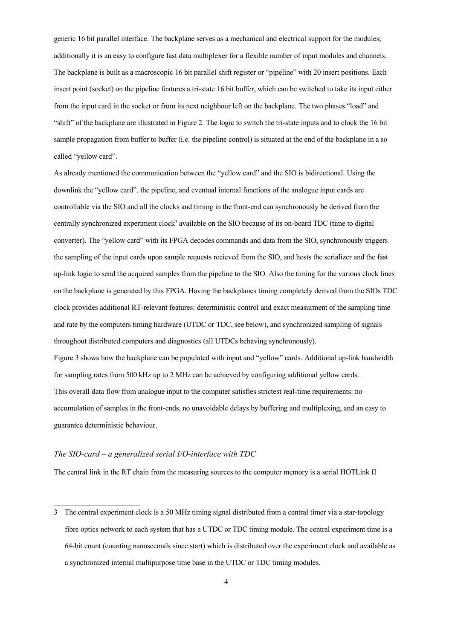generic 16 bit parallel interface. The backplane serves as a mechanical and electrical support for the modules; additionally it is an easy to configure fast data multiplexer for a flexible number of input modules and channels. The backplane is built as a macroscopic 16 bit parallel shift register or "pipeline" with 20 insert positions. Each insert point (socket) on the pipeline features a tri-state 16 bit buffer, which can be switched to take its input either from the input card in the socket or from its next neighbour left on the backplane. The two phases "load" and "shift" of the backplane are illustrated in Figure 2. The logic to switch the tri-state inputs and to clock the 16 bit sample propagation from buffer to buffer (i.e. the pipeline control) is situated at the end of the backplane in a so called "yellow card".

As already mentioned the communication between the "yellow card" and the SIO is bidirectional. Using the downlink the "yellow card", the pipeline, and eventual internal functions of the analogue input cards are controllable via the SIO and all the clocks and timing in the front-end can synchronously be derived from the centrally synchronized experiment clock<sup>3</sup> available on the SIO because of its on-board TDC (time to digital converter). The "yellow card" with its FPGA decodes commands and data from the SIO, synchronously triggers the sampling of the input cards upon sample requests recieved from the SIO, and hosts the serializer and the fast up-link logic to send the acquired samples from the pipeline to the SIO. Also the timing for the various clock lines on the backplane is generated by this FPGA. Having the backplanes timing completely derived from the SIOs TDC clock provides additional RT-relevant features: deterministic control and exact measurment of the sampling time and rate by the computers timing hardware (UTDC or TDC, see below), and synchronized sampling of signals throughout distributed computers and diagnostics (all UTDCs behaving synchronously). Figure 3 shows how the backplane can be populated with input and "yellow" cards. Additional up-link bandwidth for sampling rates from 500 kHz up to 2 MHz can be achieved by configuring additional yellow cards. This overall data flow from analogue input to the computer satisfies strictest real-time requirements: no accumulation of samples in the front-ends, no unavoidable delays by buffering and multiplexing, and an easy to guarantee deterministic behaviour.

#### *The SIO-card – a generalized serial I/O-interface with TDC*

The central link in the RT chain from the measuring sources to the computer memory is a serial HOTLink II

<sup>3</sup> The central experiment clock is a 50 MHz timing signal distributed from a central timer via a star-topology fibre optics network to each system that has a UTDC or TDC timing module. The central experiment time is a 64-bit count (counting nanoseconds since start) which is distributed over the experiment clock and available as a synchronized internal multipurpose time base in the UTDC or TDC timing modules.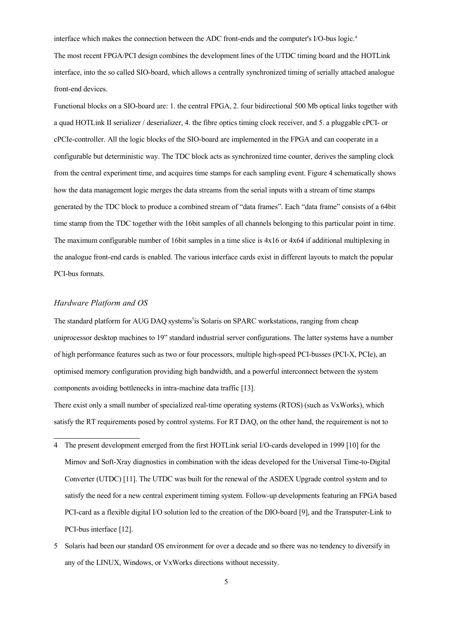interface which makes the connection between the ADC front-ends and the computer's I/O-bus logic.<sup>4</sup> The most recent FPGA/PCI design combines the development lines of the UTDC timing board and the HOTLink interface, into the so called SIO-board, which allows a centrally synchronized timing of serially attached analogue front-end devices.

Functional blocks on a SIO-board are: 1. the central FPGA, 2. four bidirectional 500 Mb optical links together with a quad HOTLink II serializer / deserializer, 4. the fibre optics timing clock receiver, and 5. a pluggable cPCI- or cPCIe-controller. All the logic blocks of the SIO-board are implemented in the FPGA and can cooperate in a configurable but deterministic way. The TDC block acts as synchronized time counter, derives the sampling clock from the central experiment time, and acquires time stamps for each sampling event. Figure 4 schematically shows how the data management logic merges the data streams from the serial inputs with a stream of time stamps generated by the TDC block to produce a combined stream of "data frames". Each "data frame" consists of a 64bit time stamp from the TDC together with the 16bit samples of all channels belonging to this particular point in time. The maximum configurable number of 16bit samples in a time slice is 4x16 or 4x64 if additional multiplexing in the analogue front-end cards is enabled. The various interface cards exist in different layouts to match the popular PCI-bus formats.

#### *Hardware Platform and OS*

The standard platform for AUG DAQ systems<sup>5</sup> is Solaris on SPARC workstations, ranging from cheap uniprocessor desktop machines to 19" standard industrial server configurations. The latter systems have a number of high performance features such as two or four processors, multiple high-speed PCI-busses (PCI-X, PCIe), an optimised memory configuration providing high bandwidth, and a powerful interconnect between the system components avoiding bottlenecks in intra-machine data traffic [13].

There exist only a small number of specialized real-time operating systems (RTOS) (such as VxWorks), which satisfy the RT requirements posed by control systems. For RT DAQ, on the other hand, the requirement is not to

- 4 The present development emerged from the first HOTLink serial I/O-cards developed in 1999 [10] for the Mirnov and Soft-Xray diagnostics in combination with the ideas developed for the Universal Time-to-Digital Converter (UTDC) [11]. The UTDC was built for the renewal of the ASDEX Upgrade control system and to satisfy the need for a new central experiment timing system. Follow-up developments featuring an FPGA based PCI-card as a flexible digital I/O solution led to the creation of the DIO-board [9], and the Transputer-Link to PCI-bus interface [12].
- 5 Solaris had been our standard OS environment for over a decade and so there was no tendency to diversify in any of the LINUX, Windows, or VxWorks directions without necessity.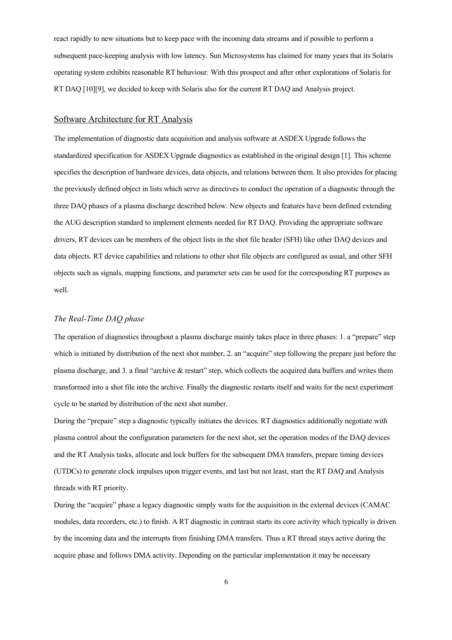react rapidly to new situations but to keep pace with the incoming data streams and if possible to perform a subsequent pace-keeping analysis with low latency. Sun Microsystems has claimed for many years that its Solaris operating system exhibits reasonable RT behaviour. With this prospect and after other explorations of Solaris for RT DAQ [10][9], we decided to keep with Solaris also for the current RT DAQ and Analysis project.

#### Software Architecture for RT Analysis

The implementation of diagnostic data acquisition and analysis software at ASDEX Upgrade follows the standardized specification for ASDEX Upgrade diagnostics as established in the original design [1]. This scheme specifies the description of hardware devices, data objects, and relations between them. It also provides for placing the previously defined object in lists which serve as directives to conduct the operation of a diagnostic through the three DAQ phases of a plasma discharge described below. New objects and features have been defined extending the AUG description standard to implement elements needed for RT DAQ. Providing the appropriate software drivers, RT devices can be members of the object lists in the shot file header (SFH) like other DAQ devices and data objects. RT device capabilities and relations to other shot file objects are configured as usual, and other SFH objects such as signals, mapping functions, and parameter sets can be used for the corresponding RT purposes as well.

#### *The Real-Time DAQ phase*

The operation of diagnostics throughout a plasma discharge mainly takes place in three phases: 1. a "prepare" step which is initiated by distribution of the next shot number, 2. an "acquire" step following the prepare just before the plasma discharge, and 3. a final "archive & restart" step, which collects the acquired data buffers and writes them transformed into a shot file into the archive. Finally the diagnostic restarts itself and waits for the next experiment cycle to be started by distribution of the next shot number.

During the "prepare" step a diagnostic typically initiates the devices. RT diagnostics additionally negotiate with plasma control about the configuration parameters for the next shot, set the operation modes of the DAQ devices and the RT Analysis tasks, allocate and lock buffers for the subsequent DMA transfers, prepare timing devices (UTDCs) to generate clock impulses upon trigger events, and last but not least, start the RT DAQ and Analysis threads with RT priority.

During the "acquire" phase a legacy diagnostic simply waits for the acquisition in the external devices (CAMAC modules, data recorders, etc.) to finish. A RT diagnostic in contrast starts its core activity which typically is driven by the incoming data and the interrupts from finishing DMA transfers. Thus a RT thread stays active during the acquire phase and follows DMA activity. Depending on the particular implementation it may be necessary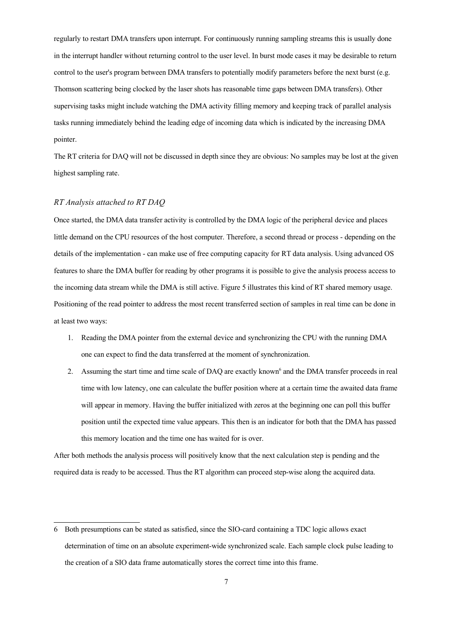regularly to restart DMA transfers upon interrupt. For continuously running sampling streams this is usually done in the interrupt handler without returning control to the user level. In burst mode cases it may be desirable to return control to the user's program between DMA transfers to potentially modify parameters before the next burst (e.g. Thomson scattering being clocked by the laser shots has reasonable time gaps between DMA transfers). Other supervising tasks might include watching the DMA activity filling memory and keeping track of parallel analysis tasks running immediately behind the leading edge of incoming data which is indicated by the increasing DMA pointer.

The RT criteria for DAQ will not be discussed in depth since they are obvious: No samples may be lost at the given highest sampling rate.

#### *RT Analysis attached to RT DAQ*

Once started, the DMA data transfer activity is controlled by the DMA logic of the peripheral device and places little demand on the CPU resources of the host computer. Therefore, a second thread or process - depending on the details of the implementation - can make use of free computing capacity for RT data analysis. Using advanced OS features to share the DMA buffer for reading by other programs it is possible to give the analysis process access to the incoming data stream while the DMA is still active. Figure 5 illustrates this kind of RT shared memory usage. Positioning of the read pointer to address the most recent transferred section of samples in real time can be done in at least two ways:

- 1. Reading the DMA pointer from the external device and synchronizing the CPU with the running DMA one can expect to find the data transferred at the moment of synchronization.
- 2. Assuming the start time and time scale of DAQ are exactly known<sup>6</sup> and the DMA transfer proceeds in real time with low latency, one can calculate the buffer position where at a certain time the awaited data frame will appear in memory. Having the buffer initialized with zeros at the beginning one can poll this buffer position until the expected time value appears. This then is an indicator for both that the DMA has passed this memory location and the time one has waited for is over.

After both methods the analysis process will positively know that the next calculation step is pending and the required data is ready to be accessed. Thus the RT algorithm can proceed step-wise along the acquired data.

<sup>6</sup> Both presumptions can be stated as satisfied, since the SIO-card containing a TDC logic allows exact determination of time on an absolute experiment-wide synchronized scale. Each sample clock pulse leading to the creation of a SIO data frame automatically stores the correct time into this frame.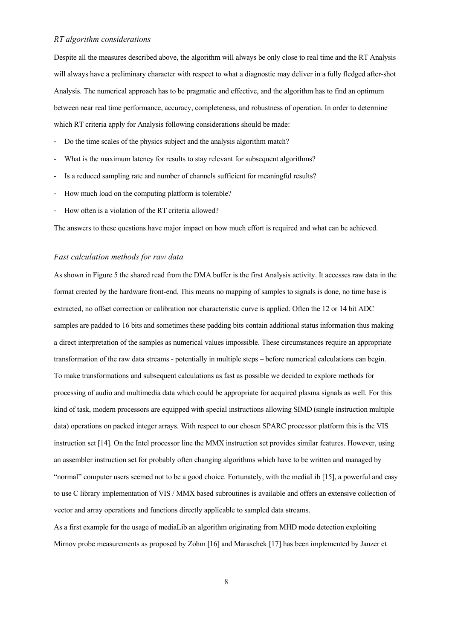### *RT algorithm considerations*

Despite all the measures described above, the algorithm will always be only close to real time and the RT Analysis will always have a preliminary character with respect to what a diagnostic may deliver in a fully fledged after-shot Analysis. The numerical approach has to be pragmatic and effective, and the algorithm has to find an optimum between near real time performance, accuracy, completeness, and robustness of operation. In order to determine which RT criteria apply for Analysis following considerations should be made:

- Do the time scales of the physics subject and the analysis algorithm match?
- What is the maximum latency for results to stay relevant for subsequent algorithms?
- Is a reduced sampling rate and number of channels sufficient for meaningful results?
- How much load on the computing platform is tolerable?
- How often is a violation of the RT criteria allowed?

The answers to these questions have major impact on how much effort is required and what can be achieved.

#### *Fast calculation methods for raw data*

As shown in Figure 5 the shared read from the DMA buffer is the first Analysis activity. It accesses raw data in the format created by the hardware front-end. This means no mapping of samples to signals is done, no time base is extracted, no offset correction or calibration nor characteristic curve is applied. Often the 12 or 14 bit ADC samples are padded to 16 bits and sometimes these padding bits contain additional status information thus making a direct interpretation of the samples as numerical values impossible. These circumstances require an appropriate transformation of the raw data streams - potentially in multiple steps – before numerical calculations can begin. To make transformations and subsequent calculations as fast as possible we decided to explore methods for processing of audio and multimedia data which could be appropriate for acquired plasma signals as well. For this kind of task, modern processors are equipped with special instructions allowing SIMD (single instruction multiple data) operations on packed integer arrays. With respect to our chosen SPARC processor platform this is the VIS instruction set [14]. On the Intel processor line the MMX instruction set provides similar features. However, using an assembler instruction set for probably often changing algorithms which have to be written and managed by "normal" computer users seemed not to be a good choice. Fortunately, with the mediaLib [15], a powerful and easy to use C library implementation of VIS / MMX based subroutines is available and offers an extensive collection of vector and array operations and functions directly applicable to sampled data streams.

As a first example for the usage of mediaLib an algorithm originating from MHD mode detection exploiting Mirnov probe measurements as proposed by Zohm [16] and Maraschek [17] has been implemented by Janzer et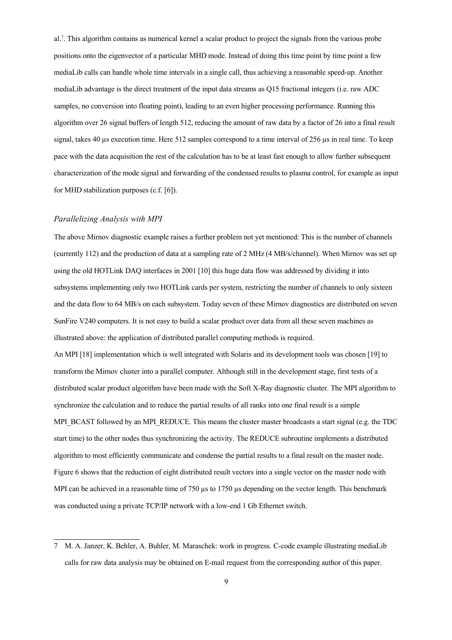al.<sup>7</sup> . This algorithm contains as numerical kernel a scalar product to project the signals from the various probe positions onto the eigenvector of a particular MHD mode. Instead of doing this time point by time point a few mediaLib calls can handle whole time intervals in a single call, thus achieving a reasonable speed-up. Another mediaLib advantage is the direct treatment of the input data streams as Q15 fractional integers (i.e. raw ADC samples, no conversion into floating point), leading to an even higher processing performance. Running this algorithm over 26 signal buffers of length 512, reducing the amount of raw data by a factor of 26 into a final result signal, takes 40 µs execution time. Here 512 samples correspond to a time interval of 256 µs in real time. To keep pace with the data acquisition the rest of the calculation has to be at least fast enough to allow further subsequent characterization of the mode signal and forwarding of the condensed results to plasma control, for example as input for MHD stabilization purposes (c.f. [6]).

#### *Parallelizing Analysis with MPI*

The above Mirnov diagnostic example raises a further problem not yet mentioned: This is the number of channels (currently 112) and the production of data at a sampling rate of 2 MHz (4 MB/s/channel). When Mirnov was set up using the old HOTLink DAQ interfaces in 2001 [10] this huge data flow was addressed by dividing it into subsystems implementing only two HOTLink cards per system, restricting the number of channels to only sixteen and the data flow to 64 MB/s on each subsystem. Today seven of these Mirnov diagnostics are distributed on seven SunFire V240 computers. It is not easy to build a scalar product over data from all these seven machines as illustrated above: the application of distributed parallel computing methods is required.

An MPI [18] implementation which is well integrated with Solaris and its development tools was chosen [19] to transform the Mirnov cluster into a parallel computer. Although still in the development stage, first tests of a distributed scalar product algorithm have been made with the Soft X-Ray diagnostic cluster. The MPI algorithm to synchronize the calculation and to reduce the partial results of all ranks into one final result is a simple MPI\_BCAST followed by an MPI\_REDUCE. This means the cluster master broadcasts a start signal (e.g. the TDC) start time) to the other nodes thus synchronizing the activity. The REDUCE subroutine implements a distributed algorithm to most efficiently communicate and condense the partial results to a final result on the master node. Figure 6 shows that the reduction of eight distributed result vectors into a single vector on the master node with MPI can be achieved in a reasonable time of 750  $\mu$ s to 1750  $\mu$ s depending on the vector length. This benchmark was conducted using a private TCP/IP network with a low-end 1 Gb Ethernet switch.

<sup>7</sup> M. A. Janzer, K. Behler, A. Buhler, M. Maraschek: work in progress. C-code example illustrating mediaLib calls for raw data analysis may be obtained on E-mail request from the corresponding author of this paper.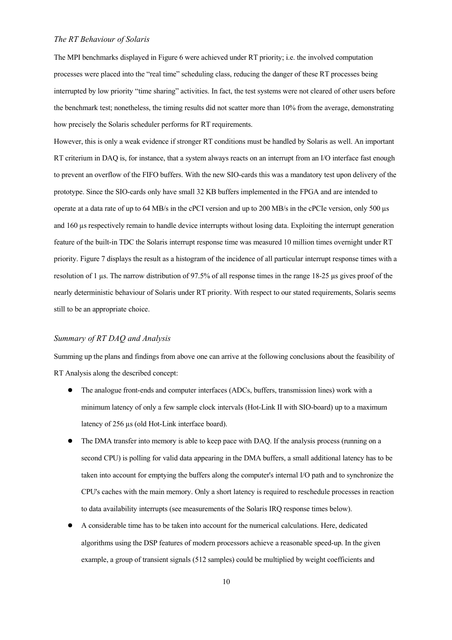### *The RT Behaviour of Solaris*

The MPI benchmarks displayed in Figure 6 were achieved under RT priority; i.e. the involved computation processes were placed into the "real time" scheduling class, reducing the danger of these RT processes being interrupted by low priority "time sharing" activities. In fact, the test systems were not cleared of other users before the benchmark test; nonetheless, the timing results did not scatter more than 10% from the average, demonstrating how precisely the Solaris scheduler performs for RT requirements.

However, this is only a weak evidence if stronger RT conditions must be handled by Solaris as well. An important RT criterium in DAQ is, for instance, that a system always reacts on an interrupt from an I/O interface fast enough to prevent an overflow of the FIFO buffers. With the new SIO-cards this was a mandatory test upon delivery of the prototype. Since the SIO-cards only have small 32 KB buffers implemented in the FPGA and are intended to operate at a data rate of up to 64 MB/s in the cPCI version and up to 200 MB/s in the cPCIe version, only 500 µs and 160 µs respectively remain to handle device interrupts without losing data. Exploiting the interrupt generation feature of the built-in TDC the Solaris interrupt response time was measured 10 million times overnight under RT priority. Figure 7 displays the result as a histogram of the incidence of all particular interrupt response times with a resolution of 1 µs. The narrow distribution of 97.5% of all response times in the range 18-25 µs gives proof of the nearly deterministic behaviour of Solaris under RT priority. With respect to our stated requirements, Solaris seems still to be an appropriate choice.

### *Summary of RT DAQ and Analysis*

Summing up the plans and findings from above one can arrive at the following conclusions about the feasibility of RT Analysis along the described concept:

- The analogue front-ends and computer interfaces (ADCs, buffers, transmission lines) work with a minimum latency of only a few sample clock intervals (Hot-Link II with SIO-board) up to a maximum latency of 256 µs (old Hot-Link interface board).
- The DMA transfer into memory is able to keep pace with DAQ. If the analysis process (running on a second CPU) is polling for valid data appearing in the DMA buffers, a small additional latency has to be taken into account for emptying the buffers along the computer's internal I/O path and to synchronize the CPU's caches with the main memory. Only a short latency is required to reschedule processes in reaction to data availability interrupts (see measurements of the Solaris IRQ response times below).
- A considerable time has to be taken into account for the numerical calculations. Here, dedicated algorithms using the DSP features of modern processors achieve a reasonable speed-up. In the given example, a group of transient signals (512 samples) could be multiplied by weight coefficients and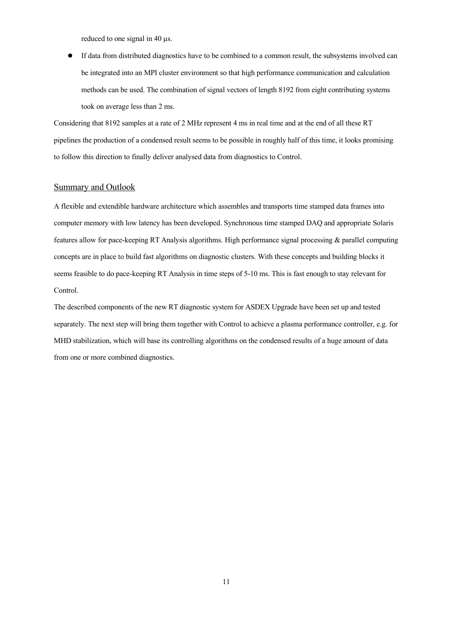reduced to one signal in 40 µs.

● If data from distributed diagnostics have to be combined to a common result, the subsystems involved can be integrated into an MPI cluster environment so that high performance communication and calculation methods can be used. The combination of signal vectors of length 8192 from eight contributing systems took on average less than 2 ms.

Considering that 8192 samples at a rate of 2 MHz represent 4 ms in real time and at the end of all these RT pipelines the production of a condensed result seems to be possible in roughly half of this time, it looks promising to follow this direction to finally deliver analysed data from diagnostics to Control.

# Summary and Outlook

A flexible and extendible hardware architecture which assembles and transports time stamped data frames into computer memory with low latency has been developed. Synchronous time stamped DAQ and appropriate Solaris features allow for pace-keeping RT Analysis algorithms. High performance signal processing & parallel computing concepts are in place to build fast algorithms on diagnostic clusters. With these concepts and building blocks it seems feasible to do pace-keeping RT Analysis in time steps of 5-10 ms. This is fast enough to stay relevant for Control.

The described components of the new RT diagnostic system for ASDEX Upgrade have been set up and tested separately. The next step will bring them together with Control to achieve a plasma performance controller, e.g. for MHD stabilization, which will base its controlling algorithms on the condensed results of a huge amount of data from one or more combined diagnostics.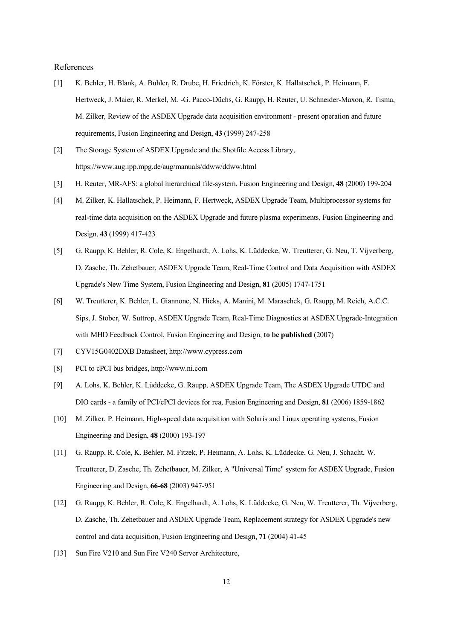#### References

- [1] K. Behler, H. Blank, A. Buhler, R. Drube, H. Friedrich, K. Förster, K. Hallatschek, P. Heimann, F. Hertweck, J. Maier, R. Merkel, M. -G. Pacco-Düchs, G. Raupp, H. Reuter, U. Schneider-Maxon, R. Tisma, M. Zilker, Review of the ASDEX Upgrade data acquisition environment - present operation and future requirements, Fusion Engineering and Design, **43** (1999) 247-258
- [2] The Storage System of ASDEX Upgrade and the Shotfile Access Library, https://www.aug.ipp.mpg.de/aug/manuals/ddww/ddww.html
- [3] H. Reuter, MR-AFS: a global hierarchical file-system, Fusion Engineering and Design, **48** (2000) 199-204
- [4] M. Zilker, K. Hallatschek, P. Heimann, F. Hertweck, ASDEX Upgrade Team, Multiprocessor systems for real-time data acquisition on the ASDEX Upgrade and future plasma experiments, Fusion Engineering and Design, **43** (1999) 417-423
- [5] G. Raupp, K. Behler, R. Cole, K. Engelhardt, A. Lohs, K. Lüddecke, W. Treutterer, G. Neu, T. Vijverberg, D. Zasche, Th. Zehetbauer, ASDEX Upgrade Team, Real-Time Control and Data Acquisition with ASDEX Upgrade's New Time System, Fusion Engineering and Design, **81** (2005) 1747-1751
- [6] W. Treutterer, K. Behler, L. Giannone, N. Hicks, A. Manini, M. Maraschek, G. Raupp, M. Reich, A.C.C. Sips, J. Stober, W. Suttrop, ASDEX Upgrade Team, Real-Time Diagnostics at ASDEX Upgrade-Integration with MHD Feedback Control, Fusion Engineering and Design, **to be published** (2007)
- [7] CYV15G0402DXB Datasheet, http://www.cypress.com
- [8] PCI to cPCI bus bridges, http://www.ni.com
- [9] A. Lohs, K. Behler, K. Lüddecke, G. Raupp, ASDEX Upgrade Team, The ASDEX Upgrade UTDC and DIO cards - a family of PCI/cPCI devices for rea, Fusion Engineering and Design, **81** (2006) 1859-1862
- [10] M. Zilker, P. Heimann, High-speed data acquisition with Solaris and Linux operating systems, Fusion Engineering and Design, **48** (2000) 193-197
- [11] G. Raupp, R. Cole, K. Behler, M. Fitzek, P. Heimann, A. Lohs, K. Lüddecke, G. Neu, J. Schacht, W. Treutterer, D. Zasche, Th. Zehetbauer, M. Zilker, A "Universal Time" system for ASDEX Upgrade, Fusion Engineering and Design, **66-68** (2003) 947-951
- [12] G. Raupp, K. Behler, R. Cole, K. Engelhardt, A. Lohs, K. Lüddecke, G. Neu, W. Treutterer, Th. Vijverberg, D. Zasche, Th. Zehetbauer and ASDEX Upgrade Team, Replacement strategy for ASDEX Upgrade's new control and data acquisition, Fusion Engineering and Design, **71** (2004) 41-45
- [13] Sun Fire V210 and Sun Fire V240 Server Architecture,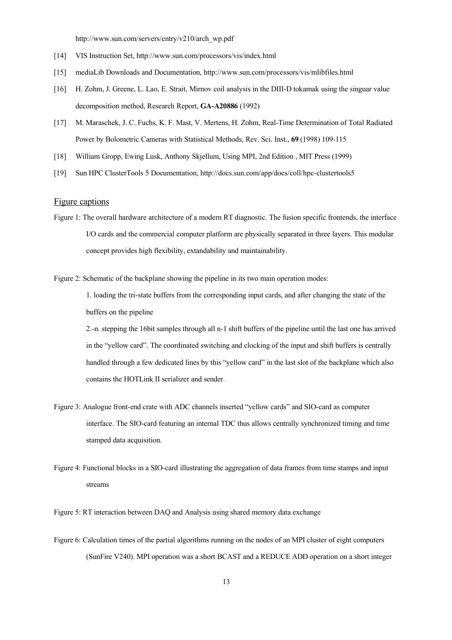http://www.sun.com/servers/entry/v210/arch\_wp.pdf

- [14] VIS Instruction Set, http://www.sun.com/processors/vis/index.html
- [15] mediaLib Downloads and Documentation, http://www.sun.com/processors/vis/mlibfiles.html
- [16] H. Zohm, J. Greene, L. Lao, E. Strait, Mirnov coil analysis in the DIII-D tokamak using the singuar value decomposition method, Research Report, **GA-A20886** (1992)
- [17] M. Maraschek, J. C. Fuchs, K. F. Mast, V. Mertens, H. Zohm, Real-Time Determination of Total Radiated Power by Bolometric Cameras with Statistical Methods, Rev. Sci. Inst., **69** (1998) 109-115
- [18] William Gropp, Ewing Lusk, Anthony Skjellum, Using MPI, 2nd Edition , MIT Press (1999)
- [19] Sun HPC ClusterTools 5 Documentation, http://docs.sun.com/app/docs/coll/hpc-clustertools5

### Figure captions

- Figure 1: The overall hardware architecture of a modern RT diagnostic. The fusion specific frontends, the interface I/O cards and the commercial computer platform are physically separated in three layers. This modular concept provides high flexibility, extandability and maintainability.
- Figure 2: Schematic of the backplane showing the pipeline in its two main operation modes:

1. loading the tri-state buffers from the corresponding input cards, and after changing the state of the buffers on the pipeline

2.-n. stepping the 16bit samples through all n-1 shift buffers of the pipeline until the last one has arrived in the "yellow card". The coordinated switching and clocking of the input and shift buffers is centrally handled through a few dedicated lines by this "yellow card" in the last slot of the backplane which also contains the HOTLink II serializer and sender.

- Figure 3: Analogue front-end crate with ADC channels inserted "yellow cards" and SIO-card as computer interface. The SIO-card featuring an internal TDC thus allows centrally synchronized timing and time stamped data acquisition.
- Figure 4: Functional blocks in a SIO-card illustrating the aggregation of data frames from time stamps and input streams

Figure 5: RT interaction between DAQ and Analysis using shared memory data exchange

Figure 6: Calculation times of the partial algorithms running on the nodes of an MPI cluster of eight computers (SunFire V240). MPI operation was a short BCAST and a REDUCE ADD operation on a short integer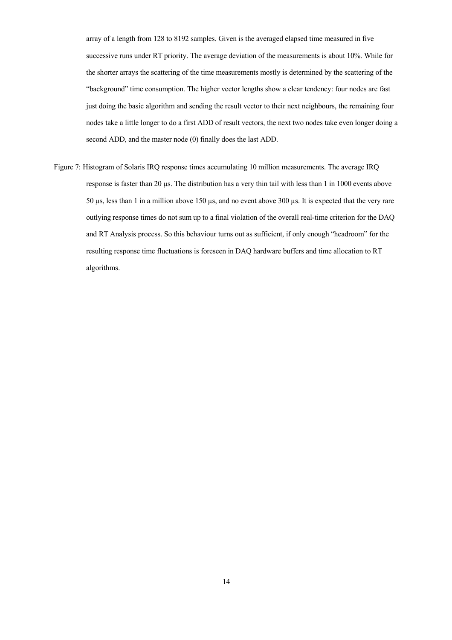array of a length from 128 to 8192 samples. Given is the averaged elapsed time measured in five successive runs under RT priority. The average deviation of the measurements is about 10%. While for the shorter arrays the scattering of the time measurements mostly is determined by the scattering of the "background" time consumption. The higher vector lengths show a clear tendency: four nodes are fast just doing the basic algorithm and sending the result vector to their next neighbours, the remaining four nodes take a little longer to do a first ADD of result vectors, the next two nodes take even longer doing a second ADD, and the master node (0) finally does the last ADD.

Figure 7: Histogram of Solaris IRQ response times accumulating 10 million measurements. The average IRQ response is faster than 20 µs. The distribution has a very thin tail with less than 1 in 1000 events above 50 µs, less than 1 in a million above 150 µs, and no event above 300 µs. It is expected that the very rare outlying response times do not sum up to a final violation of the overall real-time criterion for the DAQ and RT Analysis process. So this behaviour turns out as sufficient, if only enough "headroom" for the resulting response time fluctuations is foreseen in DAQ hardware buffers and time allocation to RT algorithms.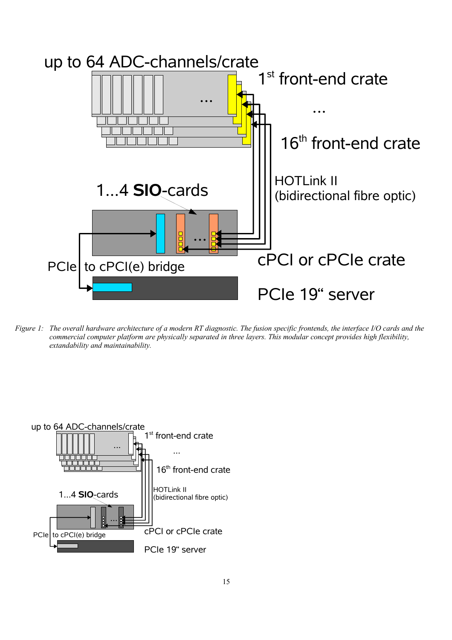

*Figure 1: The overall hardware architecture of a modern RT diagnostic. The fusion specific frontends, the interface I/O cards and the commercial computer platform are physically separated in three layers. This modular concept provides high flexibility, extandability and maintainability.*

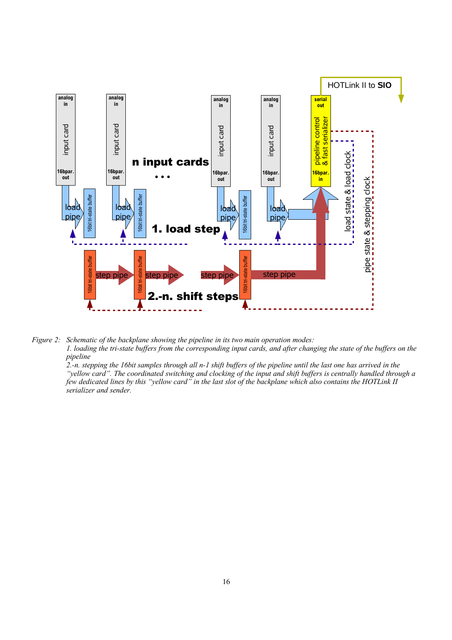

*Figure 2: Schematic of the backplane showing the pipeline in its two main operation modes:*

*1. loading the tri-state buffers from the corresponding input cards, and after changing the state of the buffers on the pipeline*

*2.-n. stepping the 16bit samples through all n-1 shift buffers of the pipeline until the last one has arrived in the "yellow card". The coordinated switching and clocking of the input and shift buffers is centrally handled through a few dedicated lines by this "yellow card" in the last slot of the backplane which also contains the HOTLink II serializer and sender.*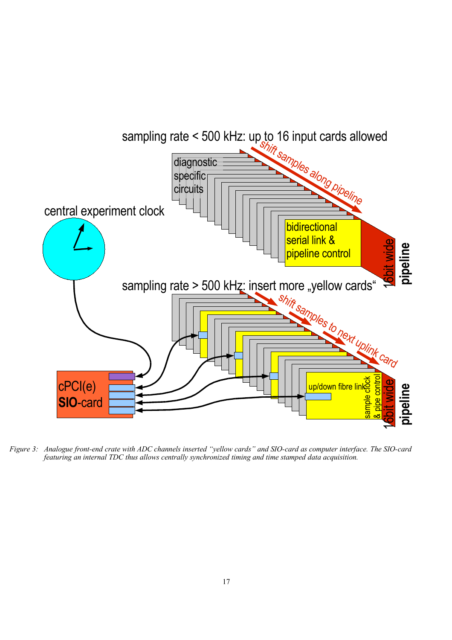

*Figure 3: Analogue front-end crate with ADC channels inserted "yellow cards" and SIO-card as computer interface. The SIO-card featuring an internal TDC thus allows centrally synchronized timing and time stamped data acquisition.*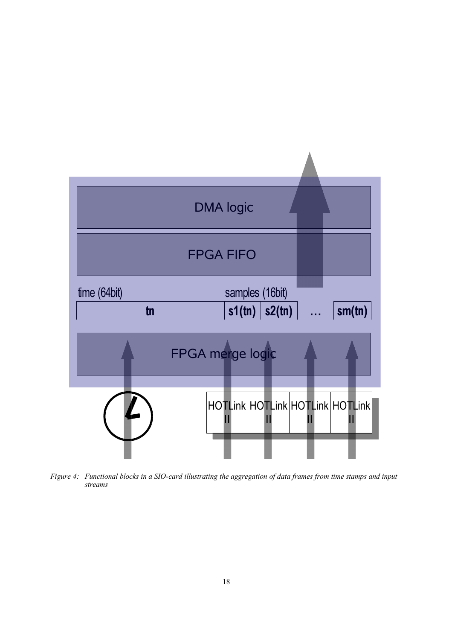

*Figure 4: Functional blocks in a SIO-card illustrating the aggregation of data frames from time stamps and input streams*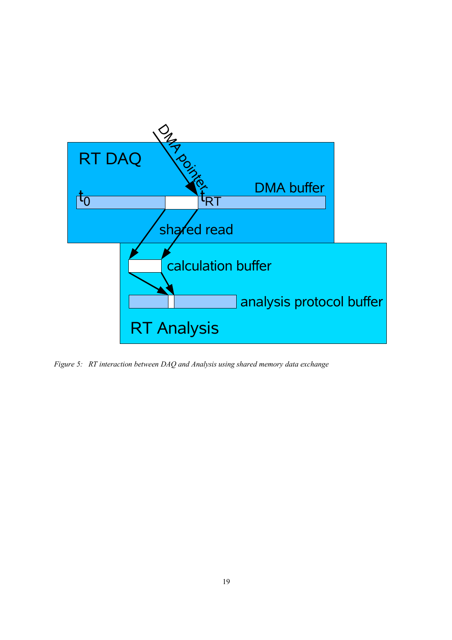

*Figure 5: RT interaction between DAQ and Analysis using shared memory data exchange*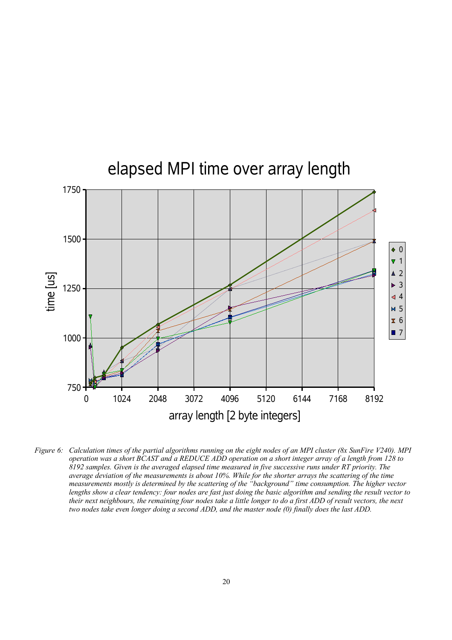

*Figure 6: Calculation times of the partial algorithms running on the eight nodes of an MPI cluster (8x SunFire V240). MPI operation was a short BCAST and a REDUCE ADD operation on a short integer array of a length from 128 to 8192 samples. Given is the averaged elapsed time measured in five successive runs under RT priority. The average deviation of the measurements is about 10%. While for the shorter arrays the scattering of the time measurements mostly is determined by the scattering of the "background" time consumption. The higher vector lengths show a clear tendency: four nodes are fast just doing the basic algorithm and sending the result vector to their next neighbours, the remaining four nodes take a little longer to do a first ADD of result vectors, the next two nodes take even longer doing a second ADD, and the master node (0) finally does the last ADD.*